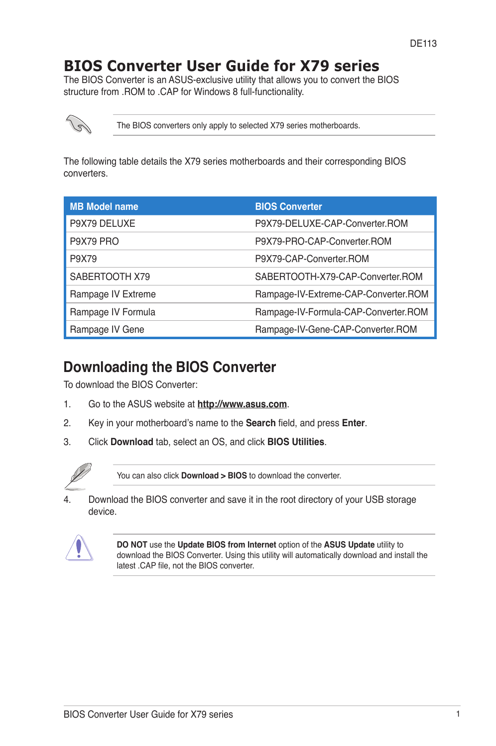# **BIOS Converter User Guide for X79 series**

The BIOS Converter is an ASUS-exclusive utility that allows you to convert the BIOS structure from .ROM to .CAP for Windows 8 full-functionality.



The BIOS converters only apply to selected X79 series motherboards.

The following table details the X79 series motherboards and their corresponding BIOS converters.

| <b>MB Model name</b> | <b>BIOS Converter</b>                |
|----------------------|--------------------------------------|
| P9X79 DELUXE         | P9X79-DELUXE-CAP-Converter.ROM       |
| P9X79 PRO            | P9X79-PRO-CAP-Converter ROM          |
| P9X79                | P9X79-CAP-Converter ROM              |
| SABERTOOTH X79       | SABERTOOTH-X79-CAP-Converter ROM     |
| Rampage IV Extreme   | Rampage-IV-Extreme-CAP-Converter.ROM |
| Rampage IV Formula   | Rampage-IV-Formula-CAP-Converter.ROM |
| Rampage IV Gene      | Rampage-IV-Gene-CAP-Converter.ROM    |

## **Downloading the BIOS Converter**

To download the BIOS Converter:

- 1. Go to the ASUS website at **http://www.asus.com**.
- 2. Key in your motherboard's name to the **Search** field, and press **Enter**.
- 3. Click **Download** tab, select an OS, and click **BIOS Utilities**.



You can also click **Download > BIOS** to download the converter.

4. Download the BIOS converter and save it in the root directory of your USB storage device.



**DO NOT** use the **Update BIOS from Internet** option of the **ASUS Update** utility to download the BIOS Converter. Using this utility will automatically download and install the latest .CAP file, not the BIOS converter.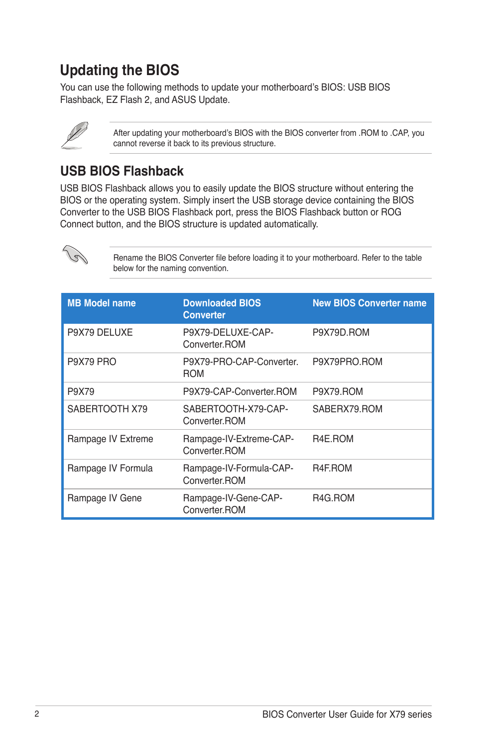# **Updating the BIOS**

You can use the following methods to update your motherboard's BIOS: USB BIOS Flashback, EZ Flash 2, and ASUS Update.

After updating your motherboard's BIOS with the BIOS converter from .ROM to .CAP, you cannot reverse it back to its previous structure.

## **USB BIOS Flashback**

USB BIOS Flashback allows you to easily update the BIOS structure without entering the BIOS or the operating system. Simply insert the USB storage device containing the BIOS Converter to the USB BIOS Flashback port, press the BIOS Flashback button or ROG Connect button, and the BIOS structure is updated automatically.



Rename the BIOS Converter file before loading it to your motherboard. Refer to the table below for the naming convention.

| <b>MB Model name</b> | <b>Downloaded BIOS</b><br><b>Converter</b> | <b>New BIOS Converter name</b> |
|----------------------|--------------------------------------------|--------------------------------|
| P9X79 DELUXE         | P9X79-DELUXE-CAP-<br>Converter ROM         | P9X79D.ROM                     |
| P9X79 PRO            | P9X79-PRO-CAP-Converter.<br><b>ROM</b>     | P9X79PRO.ROM                   |
| P9X79                | P9X79-CAP-Converter.ROM                    | P9X79.ROM                      |
| SABERTOOTH X79       | SABERTOOTH-X79-CAP-<br>Converter ROM       | SABERX79, ROM                  |
| Rampage IV Extreme   | Rampage-IV-Extreme-CAP-<br>Converter ROM   | R <sub>4</sub> E.ROM           |
| Rampage IV Formula   | Rampage-IV-Formula-CAP-<br>Converter.ROM   | R4F.ROM                        |
| Rampage IV Gene      | Rampage-IV-Gene-CAP-<br>Converter.ROM      | R4G.ROM                        |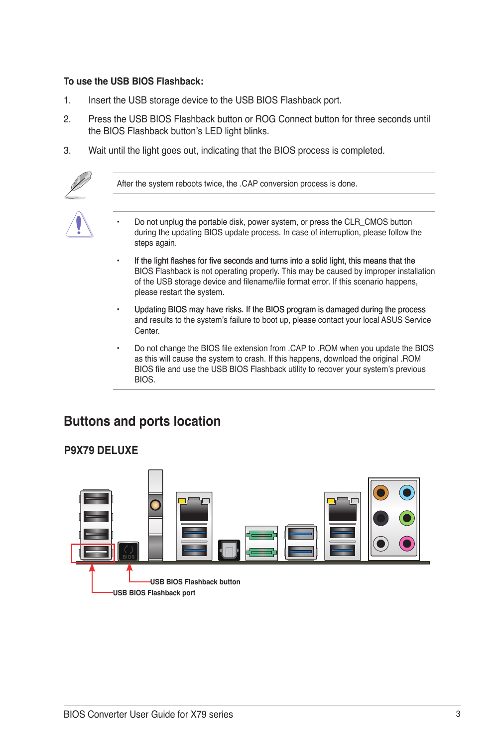#### **To use the USB BIOS Flashback:**

- 1. Insert the USB storage device to the USB BIOS Flashback port.
- 2. Press the USB BIOS Flashback button or ROG Connect button for three seconds until the BIOS Flashback button's LED light blinks.
- 3. Wait until the light goes out, indicating that the BIOS process is completed.



After the system reboots twice, the .CAP conversion process is done.

- Do not unplug the portable disk, power system, or press the CLR\_CMOS button during the updating BIOS update process. In case of interruption, please follow the steps again.
- If the light flashes for five seconds and turns into a solid light, this means that the BIOS Flashback is not operating properly. This may be caused by improper installation of the USB storage device and filename/file format error. If this scenario happens, please restart the system.
- Updating BIOS may have risks. If the BIOS program is damaged during the process and results to the system's failure to boot up, please contact your local ASUS Service Center.
- Do not change the BIOS file extension from .CAP to .ROM when you update the BIOS as this will cause the system to crash. If this happens, download the original .ROM BIOS file and use the USB BIOS Flashback utility to recover your system's previous **BIOS**

## **Buttons and ports location**



#### **P9X79 DELUXE**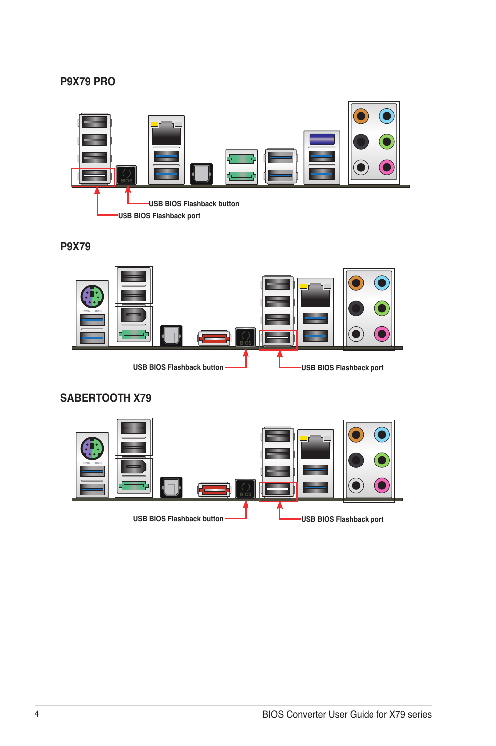#### **P9X79 PRO**



#### **P9X79**



### **SABERTOOTH X79**

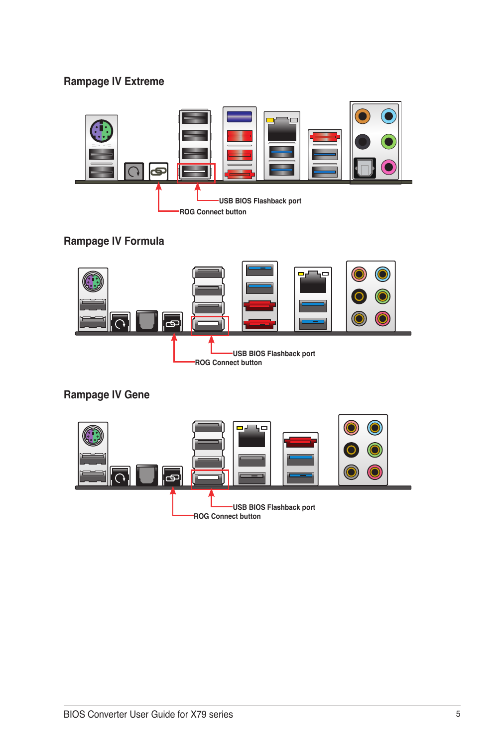### **Rampage IV Extreme**



### **Rampage IV Formula**



## **Rampage IV Gene**

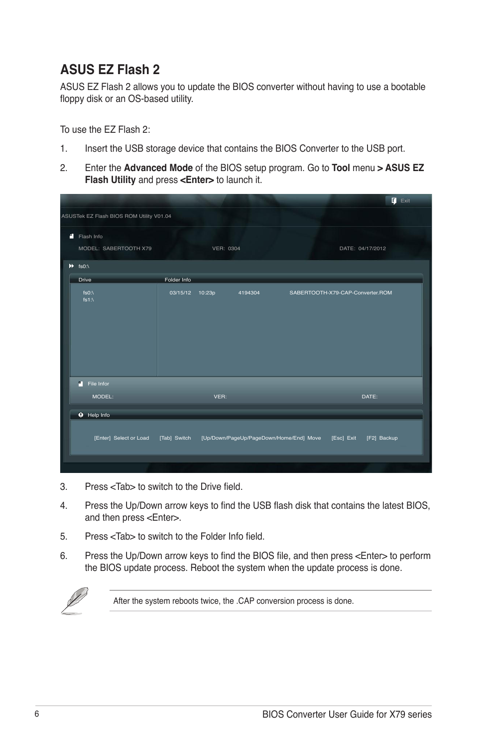## **ASUS EZ Flash 2**

ASUS EZ Flash 2 allows you to update the BIOS converter without having to use a bootable floppy disk or an OS-based utility.

To use the EZ Flash 2:

- 1. Insert the USB storage device that contains the BIOS Converter to the USB port.
- 2. Enter the **Advanced Mode** of the BIOS setup program. Go to **Tool** menu **> ASUS EZ Flash Utility** and press **<Enter>** to launch it.

|                                          |                 |           |         |                                                    | $\overline{\mathbf{u}}$ Exit     |  |
|------------------------------------------|-----------------|-----------|---------|----------------------------------------------------|----------------------------------|--|
| ASUSTek EZ Flash BIOS ROM Utility V01.04 |                 |           |         |                                                    |                                  |  |
| Flash Info<br>MODEL: SABERTOOTH X79      |                 | VER: 0304 |         |                                                    | DATE: 04/17/2012                 |  |
| $H$ fs0:\                                |                 |           |         |                                                    |                                  |  |
| Drive                                    | Folder Info     |           |         |                                                    |                                  |  |
| fs0 $\Lambda$<br>fs1 $\Lambda$           | 03/15/12 10:23p |           | 4194304 |                                                    | SABERTOOTH-X79-CAP-Converter.ROM |  |
| m<br>File Infor                          |                 |           |         |                                                    |                                  |  |
| MODEL:                                   |                 | VER:      |         |                                                    | DATE:                            |  |
| <b>O</b> Help Info                       |                 |           |         |                                                    |                                  |  |
| [Enter] Select or Load [Tab] Switch      |                 |           |         | [Up/Down/PageUp/PageDown/Home/End] Move [Esc] Exit | [F2] Backup                      |  |
|                                          |                 |           |         |                                                    |                                  |  |

- 3. Press <Tab> to switch to the Drive field.
- 4. Press the Up/Down arrow keys to find the USB flash disk that contains the latest BIOS, and then press <Enter>.
- 5. Press <Tab> to switch to the Folder Info field.
- 6. Press the Up/Down arrow keys to find the BIOS file, and then press <Enter> to perform the BIOS update process. Reboot the system when the update process is done.



After the system reboots twice, the .CAP conversion process is done.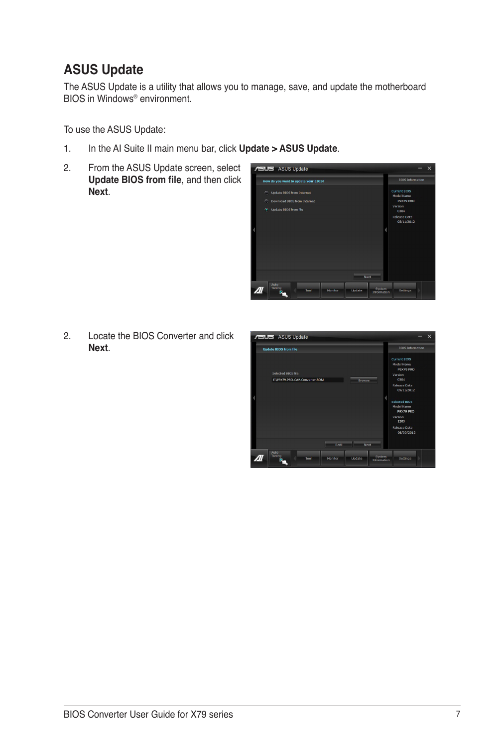# **ASUS Update**

The ASUS Update is a utility that allows you to manage, save, and update the motherboard BIOS in Windows® environment.

To use the ASUS Update:

- 1. In the AI Suite II main menu bar, click **Update > ASUS Update**.
- 2. From the ASUS Update screen, select **From also update Update BIOS from file**, and then click **Next**.



2. Locate the BIOS Converter and click **Next**.